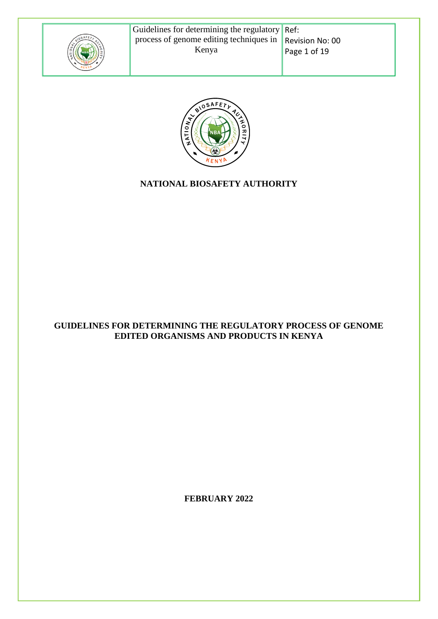

Revision No: 00 Page 1 of 19



# **NATIONAL BIOSAFETY AUTHORITY**

#### **GUIDELINES FOR DETERMINING THE REGULATORY PROCESS OF GENOME EDITED ORGANISMS AND PRODUCTS IN KENYA**

**FEBRUARY 2022**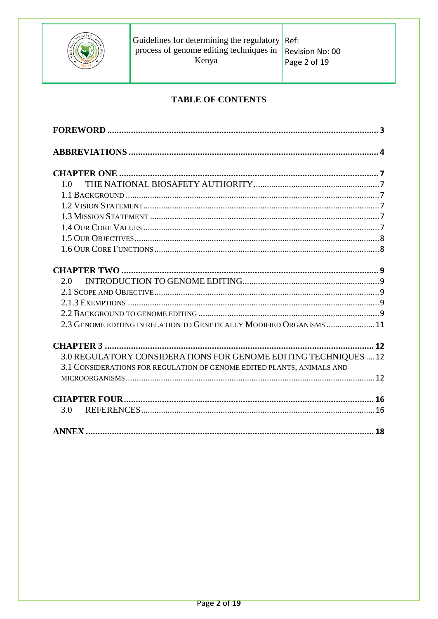

## **TABLE OF CONTENTS**

| 1 <sub>0</sub>                                                         |  |
|------------------------------------------------------------------------|--|
|                                                                        |  |
|                                                                        |  |
|                                                                        |  |
|                                                                        |  |
|                                                                        |  |
|                                                                        |  |
|                                                                        |  |
|                                                                        |  |
| 2.0                                                                    |  |
|                                                                        |  |
|                                                                        |  |
|                                                                        |  |
| 2.3 GENOME EDITING IN RELATION TO GENETICALLY MODIFIED ORGANISMS 11    |  |
|                                                                        |  |
|                                                                        |  |
| 3.0 REGULATORY CONSIDERATIONS FOR GENOME EDITING TECHNIQUES  12        |  |
| 3.1 CONSIDERATIONS FOR REGULATION OF GENOME EDITED PLANTS, ANIMALS AND |  |
|                                                                        |  |
|                                                                        |  |
|                                                                        |  |
| 3.0                                                                    |  |
|                                                                        |  |
|                                                                        |  |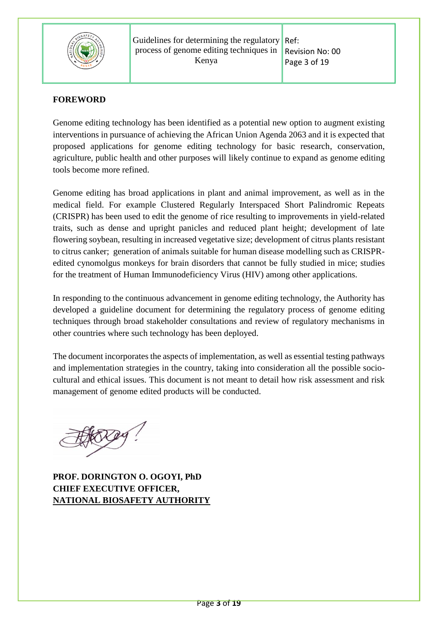

#### <span id="page-2-0"></span>**FOREWORD**

Genome editing technology has been identified as a potential new option to augment existing interventions in pursuance of achieving the African Union Agenda 2063 and it is expected that proposed applications for genome editing technology for basic research, conservation, agriculture, public health and other purposes will likely continue to expand as genome editing tools become more refined.

Genome editing has broad applications in plant and animal improvement, as well as in the medical field. For example Clustered Regularly Interspaced Short Palindromic Repeats (CRISPR) has been used to edit the genome of rice resulting to improvements in yield-related traits, such as dense and upright panicles and reduced plant height; development of late flowering soybean, resulting in increased vegetative size; development of citrus plants resistant to citrus canker; generation of animals suitable for human disease modelling such as CRISPRedited cynomolgus monkeys for brain disorders that cannot be fully studied in mice; studies for the treatment of Human Immunodeficiency Virus (HIV) among other applications.

In responding to the continuous advancement in genome editing technology, the Authority has developed a guideline document for determining the regulatory process of genome editing techniques through broad stakeholder consultations and review of regulatory mechanisms in other countries where such technology has been deployed.

The document incorporates the aspects of implementation, as well as essential testing pathways and implementation strategies in the country, taking into consideration all the possible sociocultural and ethical issues. This document is not meant to detail how risk assessment and risk management of genome edited products will be conducted.

**PROF. DORINGTON O. OGOYI, PhD CHIEF EXECUTIVE OFFICER, NATIONAL BIOSAFETY AUTHORITY**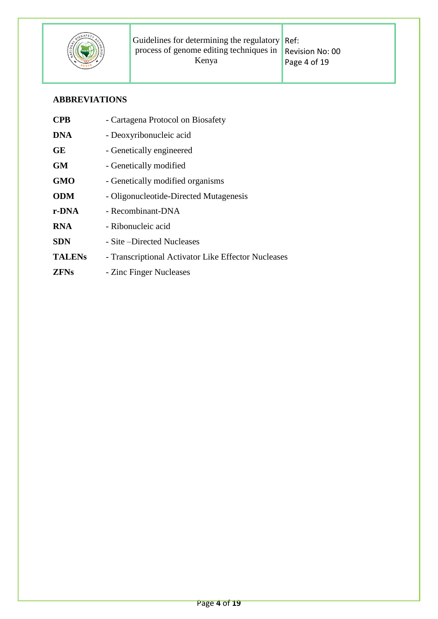

# <span id="page-3-0"></span>**ABBREVIATIONS**

| <b>CPB</b>    | - Cartagena Protocol on Biosafety                   |
|---------------|-----------------------------------------------------|
| <b>DNA</b>    | - Deoxyribonucleic acid                             |
| <b>GE</b>     | - Genetically engineered                            |
| <b>GM</b>     | - Genetically modified                              |
| <b>GMO</b>    | - Genetically modified organisms                    |
| <b>ODM</b>    | - Oligonucleotide-Directed Mutagenesis              |
| r-DNA         | - Recombinant-DNA                                   |
| <b>RNA</b>    | - Ribonucleic acid                                  |
| <b>SDN</b>    | - Site – Directed Nucleases                         |
| <b>TALENS</b> | - Transcriptional Activator Like Effector Nucleases |
| <b>ZFNs</b>   | - Zinc Finger Nucleases                             |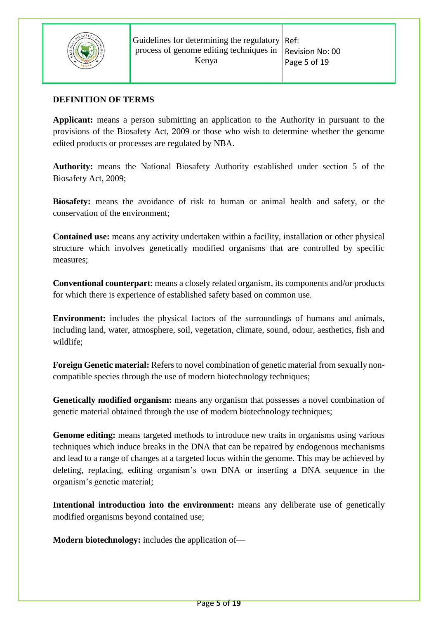

#### **DEFINITION OF TERMS**

**Applicant:** means a person submitting an application to the Authority in pursuant to the provisions of the Biosafety Act, 2009 or those who wish to determine whether the genome edited products or processes are regulated by NBA.

**Authority:** means the National Biosafety Authority established under section 5 of the Biosafety Act, 2009;

**Biosafety:** means the avoidance of risk to human or animal health and safety, or the conservation of the environment;

**Contained use:** means any activity undertaken within a facility, installation or other physical structure which involves genetically modified organisms that are controlled by specific measures;

**Conventional counterpart**: means a closely related organism, its components and/or products for which there is experience of established safety based on common use.

**Environment:** includes the physical factors of the surroundings of humans and animals, including land, water, atmosphere, soil, vegetation, climate, sound, odour, aesthetics, fish and wildlife;

**Foreign Genetic material:** Refers to novel combination of genetic material from sexually noncompatible species through the use of modern biotechnology techniques;

**Genetically modified organism:** means any organism that possesses a novel combination of genetic material obtained through the use of modern biotechnology techniques;

**Genome editing:** means targeted methods to introduce new traits in organisms using various techniques which induce breaks in the DNA that can be repaired by endogenous mechanisms and lead to a range of changes at a targeted locus within the genome. This may be achieved by deleting, replacing, editing organism's own DNA or inserting a DNA sequence in the organism's genetic material;

**Intentional introduction into the environment:** means any deliberate use of genetically modified organisms beyond contained use;

**Modern biotechnology:** includes the application of—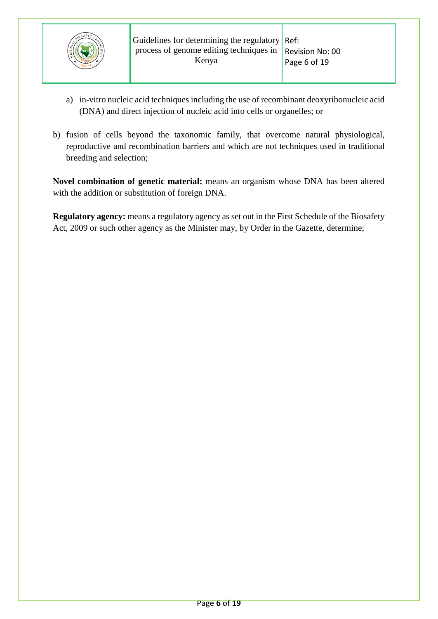

- a) in-vitro nucleic acid techniques including the use of recombinant deoxyribonucleic acid (DNA) and direct injection of nucleic acid into cells or organelles; or
- b) fusion of cells beyond the taxonomic family, that overcome natural physiological, reproductive and recombination barriers and which are not techniques used in traditional breeding and selection;

**Novel combination of genetic material:** means an organism whose DNA has been altered with the addition or substitution of foreign DNA.

**Regulatory agency:** means a regulatory agency as set out in the First Schedule of the Biosafety Act, 2009 or such other agency as the Minister may, by Order in the Gazette, determine;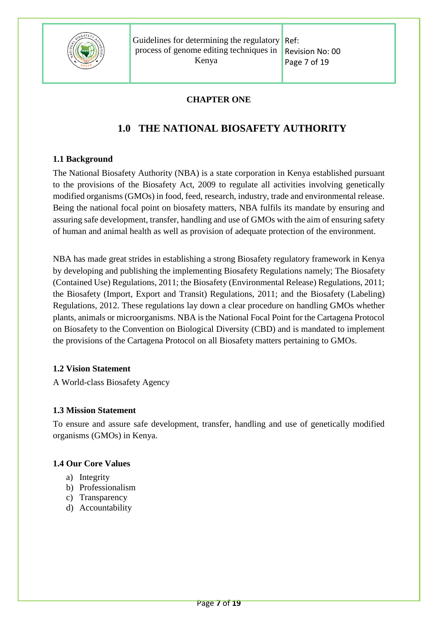

Ref: Revision No: 00 Page 7 of 19

## **CHAPTER ONE**

# <span id="page-6-1"></span>**1.0 THE NATIONAL BIOSAFETY AUTHORITY**

## <span id="page-6-2"></span><span id="page-6-0"></span>**1.1 Background**

The National Biosafety Authority (NBA) is a state corporation in Kenya established pursuant to the provisions of the Biosafety Act, 2009 to regulate all activities involving genetically modified organisms (GMOs) in food, feed, research, industry, trade and environmental release. Being the national focal point on biosafety matters, NBA fulfils its mandate by ensuring and assuring safe development, transfer, handling and use of GMOs with the aim of ensuring safety of human and animal health as well as provision of adequate protection of the environment.

NBA has made great strides in establishing a strong Biosafety regulatory framework in Kenya by developing and publishing the implementing Biosafety Regulations namely; The Biosafety (Contained Use) Regulations, 2011; the Biosafety (Environmental Release) Regulations, 2011; the Biosafety (Import, Export and Transit) Regulations, 2011; and the Biosafety (Labeling) Regulations, 2012. These regulations lay down a clear procedure on handling GMOs whether plants, animals or microorganisms. NBA is the National Focal Point for the Cartagena Protocol on Biosafety to the Convention on Biological Diversity (CBD) and is mandated to implement the provisions of the Cartagena Protocol on all Biosafety matters pertaining to GMOs.

#### <span id="page-6-3"></span>**1.2 Vision Statement**

A World-class Biosafety Agency

#### <span id="page-6-4"></span>**1.3 Mission Statement**

To ensure and assure safe development, transfer, handling and use of genetically modified organisms (GMOs) in Kenya.

#### <span id="page-6-5"></span>**1.4 Our Core Values**

- a) Integrity
- b) Professionalism
- c) Transparency
- d) Accountability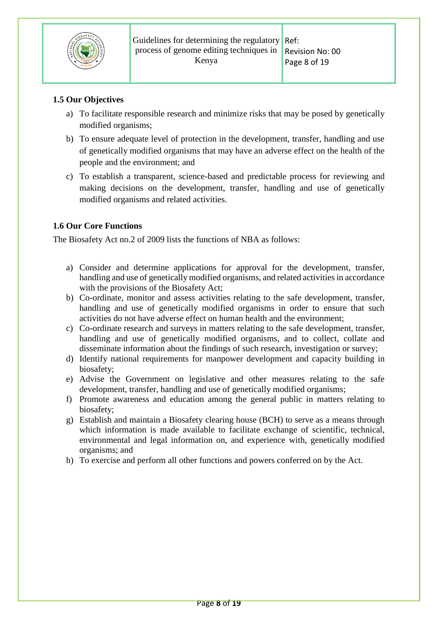

# <span id="page-7-0"></span>**1.5 Our Objectives**

- a) To facilitate responsible research and minimize risks that may be posed by genetically modified organisms;
- b) To ensure adequate level of protection in the development, transfer, handling and use of genetically modified organisms that may have an adverse effect on the health of the people and the environment; and
- c) To establish a transparent, science-based and predictable process for reviewing and making decisions on the development, transfer, handling and use of genetically modified organisms and related activities.

# <span id="page-7-1"></span>**1.6 Our Core Functions**

The Biosafety Act no.2 of 2009 lists the functions of NBA as follows:

- a) Consider and determine applications for approval for the development, transfer, handling and use of genetically modified organisms, and related activities in accordance with the provisions of the Biosafety Act;
- b) Co-ordinate, monitor and assess activities relating to the safe development, transfer, handling and use of genetically modified organisms in order to ensure that such activities do not have adverse effect on human health and the environment;
- c) Co-ordinate research and surveys in matters relating to the safe development, transfer, handling and use of genetically modified organisms, and to collect, collate and disseminate information about the findings of such research, investigation or survey;
- d) Identify national requirements for manpower development and capacity building in biosafety;
- e) Advise the Government on legislative and other measures relating to the safe development, transfer, handling and use of genetically modified organisms;
- f) Promote awareness and education among the general public in matters relating to biosafety;
- g) Establish and maintain a Biosafety clearing house (BCH) to serve as a means through which information is made available to facilitate exchange of scientific, technical, environmental and legal information on, and experience with, genetically modified organisms; and
- h) To exercise and perform all other functions and powers conferred on by the Act.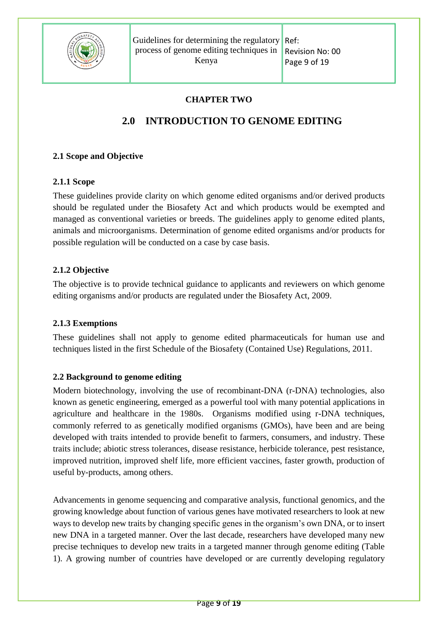

Revision No: 00 Page 9 of 19

## **CHAPTER TWO**

# <span id="page-8-1"></span>**2.0 INTRODUCTION TO GENOME EDITING**

## <span id="page-8-2"></span><span id="page-8-0"></span>**2.1 Scope and Objective**

## **2.1.1 Scope**

These guidelines provide clarity on which genome edited organisms and/or derived products should be regulated under the Biosafety Act and which products would be exempted and managed as conventional varieties or breeds. The guidelines apply to genome edited plants, animals and microorganisms. Determination of genome edited organisms and/or products for possible regulation will be conducted on a case by case basis.

## **2.1.2 Objective**

The objective is to provide technical guidance to applicants and reviewers on which genome editing organisms and/or products are regulated under the Biosafety Act, 2009.

#### <span id="page-8-3"></span>**2.1.3 Exemptions**

These guidelines shall not apply to genome edited pharmaceuticals for human use and techniques listed in the first Schedule of the Biosafety (Contained Use) Regulations, 2011.

## <span id="page-8-4"></span>**2.2 Background to genome editing**

Modern biotechnology, involving the use of recombinant-DNA (r-DNA) technologies, also known as genetic engineering, emerged as a powerful tool with many potential applications in agriculture and healthcare in the 1980s. Organisms modified using r-DNA techniques, commonly referred to as genetically modified organisms (GMOs), have been and are being developed with traits intended to provide benefit to farmers, consumers, and industry. These traits include; abiotic stress tolerances, disease resistance, herbicide tolerance, pest resistance, improved nutrition, improved shelf life, more efficient vaccines, faster growth, production of useful by-products, among others.

Advancements in genome sequencing and comparative analysis, functional genomics, and the growing knowledge about function of various genes have motivated researchers to look at new ways to develop new traits by changing specific genes in the organism's own DNA, or to insert new DNA in a targeted manner. Over the last decade, researchers have developed many new precise techniques to develop new traits in a targeted manner through genome editing (Table 1). A growing number of countries have developed or are currently developing regulatory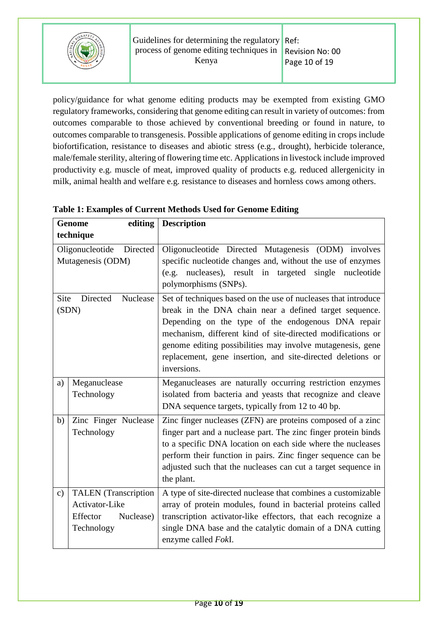

policy/guidance for what genome editing products may be exempted from existing GMO regulatory frameworks, considering that genome editing can result in variety of outcomes: from outcomes comparable to those achieved by conventional breeding or found in nature, to outcomes comparable to transgenesis. Possible applications of genome editing in crops include biofortification, resistance to diseases and abiotic stress (e.g., drought), herbicide tolerance, male/female sterility, altering of flowering time etc. Applications in livestock include improved productivity e.g. muscle of meat, improved quality of products e.g. reduced allergenicity in milk, animal health and welfare e.g. resistance to diseases and hornless cows among others.

|               | <b>Genome</b><br>editing                                                             | <b>Description</b>                                                                                                                                                                                                                                                                                                                                                                        |
|---------------|--------------------------------------------------------------------------------------|-------------------------------------------------------------------------------------------------------------------------------------------------------------------------------------------------------------------------------------------------------------------------------------------------------------------------------------------------------------------------------------------|
|               | technique                                                                            |                                                                                                                                                                                                                                                                                                                                                                                           |
|               | Oligonucleotide<br>Directed<br>Mutagenesis (ODM)                                     | Oligonucleotide Directed Mutagenesis (ODM) involves<br>specific nucleotide changes and, without the use of enzymes<br>(e.g. nucleases), result in<br>single<br>targeted<br>nucleotide<br>polymorphisms (SNPs).                                                                                                                                                                            |
| Site          | Directed<br>Nuclease<br>(SDN)                                                        | Set of techniques based on the use of nucleases that introduce<br>break in the DNA chain near a defined target sequence.<br>Depending on the type of the endogenous DNA repair<br>mechanism, different kind of site-directed modifications or<br>genome editing possibilities may involve mutagenesis, gene<br>replacement, gene insertion, and site-directed deletions or<br>inversions. |
| a)            | Meganuclease<br>Technology                                                           | Meganucleases are naturally occurring restriction enzymes<br>isolated from bacteria and yeasts that recognize and cleave<br>DNA sequence targets, typically from 12 to 40 bp.                                                                                                                                                                                                             |
| b)            | Zinc Finger Nuclease<br>Technology                                                   | Zinc finger nucleases (ZFN) are proteins composed of a zinc<br>finger part and a nuclease part. The zinc finger protein binds<br>to a specific DNA location on each side where the nucleases<br>perform their function in pairs. Zinc finger sequence can be<br>adjusted such that the nucleases can cut a target sequence in<br>the plant.                                               |
| $\mathbf{c})$ | <b>TALEN</b> (Transcription<br>Activator-Like<br>Effector<br>Nuclease)<br>Technology | A type of site-directed nuclease that combines a customizable<br>array of protein modules, found in bacterial proteins called<br>transcription activator-like effectors, that each recognize a<br>single DNA base and the catalytic domain of a DNA cutting<br>enzyme called FokI.                                                                                                        |

**Table 1: Examples of Current Methods Used for Genome Editing**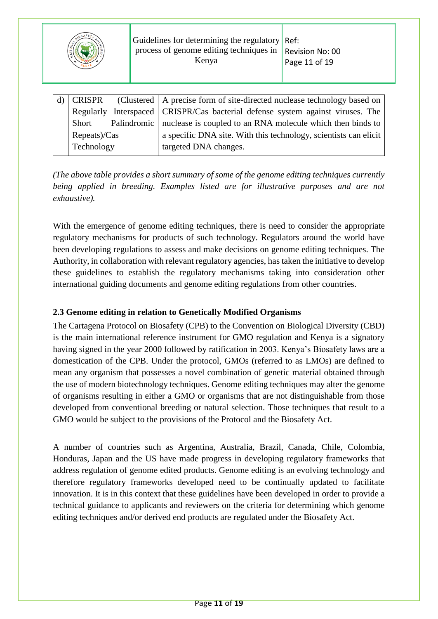

|              | d) CRISPR (Clustered A precise form of site-directed nuclease technology based on |
|--------------|-----------------------------------------------------------------------------------|
|              | Regularly Interspaced   CRISPR/Cas bacterial defense system against viruses. The  |
| Short        | Palindromic   nuclease is coupled to an RNA molecule which then binds to          |
| Repeats)/Cas | a specific DNA site. With this technology, scientists can elicit                  |
| Technology   | targeted DNA changes.                                                             |
|              |                                                                                   |

*(The above table provides a short summary of some of the genome editing techniques currently being applied in breeding. Examples listed are for illustrative purposes and are not exhaustive).* 

With the emergence of genome editing techniques, there is need to consider the appropriate regulatory mechanisms for products of such technology. Regulators around the world have been developing regulations to assess and make decisions on genome editing techniques. The Authority, in collaboration with relevant regulatory agencies, has taken the initiative to develop these guidelines to establish the regulatory mechanisms taking into consideration other international guiding documents and genome editing regulations from other countries.

### <span id="page-10-0"></span>**2.3 Genome editing in relation to Genetically Modified Organisms**

The Cartagena Protocol on Biosafety (CPB) to the Convention on Biological Diversity (CBD) is the main international reference instrument for GMO regulation and Kenya is a signatory having signed in the year 2000 followed by ratification in 2003. Kenya's Biosafety laws are a domestication of the CPB. Under the protocol, GMOs (referred to as LMOs) are defined to mean any organism that possesses a novel combination of genetic material obtained through the use of modern biotechnology techniques. Genome editing techniques may alter the genome of organisms resulting in either a GMO or organisms that are not distinguishable from those developed from conventional breeding or natural selection. Those techniques that result to a GMO would be subject to the provisions of the Protocol and the Biosafety Act.

A number of countries such as Argentina, Australia, Brazil, Canada, Chile, Colombia, Honduras, Japan and the US have made progress in developing regulatory frameworks that address regulation of genome edited products. Genome editing is an evolving technology and therefore regulatory frameworks developed need to be continually updated to facilitate innovation. It is in this context that these guidelines have been developed in order to provide a technical guidance to applicants and reviewers on the criteria for determining which genome editing techniques and/or derived end products are regulated under the Biosafety Act.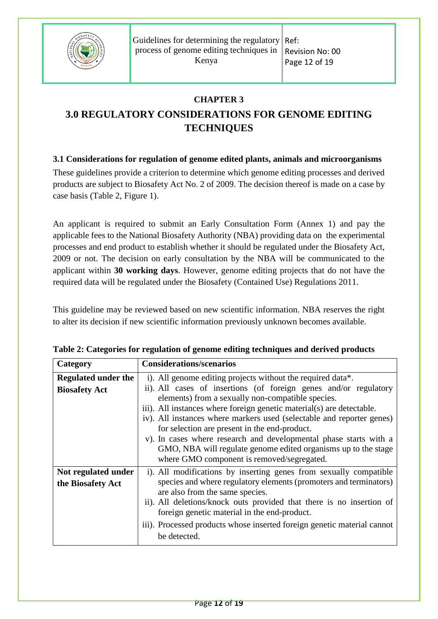

Ref: Revision No: 00 Page 12 of 19

## **CHAPTER 3**

# <span id="page-11-1"></span><span id="page-11-0"></span>**3.0 REGULATORY CONSIDERATIONS FOR GENOME EDITING TECHNIQUES**

## <span id="page-11-2"></span>**3.1 Considerations for regulation of genome edited plants, animals and microorganisms**

These guidelines provide a criterion to determine which genome editing processes and derived products are subject to Biosafety Act No. 2 of 2009. The decision thereof is made on a case by case basis (Table 2, Figure 1).

An applicant is required to submit an Early Consultation Form (Annex 1) and pay the applicable fees to the National Biosafety Authority (NBA) providing data on the experimental processes and end product to establish whether it should be regulated under the Biosafety Act, 2009 or not. The decision on early consultation by the NBA will be communicated to the applicant within **30 working days**. However, genome editing projects that do not have the required data will be regulated under the Biosafety (Contained Use) Regulations 2011.

This guideline may be reviewed based on new scientific information. NBA reserves the right to alter its decision if new scientific information previously unknown becomes available.

| Category                                           | <b>Considerations/scenarios</b>                                                                                                                                                                                                                                                                                                                                                                                                                                                                                                                                              |
|----------------------------------------------------|------------------------------------------------------------------------------------------------------------------------------------------------------------------------------------------------------------------------------------------------------------------------------------------------------------------------------------------------------------------------------------------------------------------------------------------------------------------------------------------------------------------------------------------------------------------------------|
| <b>Regulated under the</b><br><b>Biosafety Act</b> | i). All genome editing projects without the required data*.<br>ii). All cases of insertions (of foreign genes and/or regulatory<br>elements) from a sexually non-compatible species.<br>iii). All instances where foreign genetic material(s) are detectable.<br>iv). All instances where markers used (selectable and reporter genes)<br>for selection are present in the end-product.<br>v). In cases where research and developmental phase starts with a<br>GMO, NBA will regulate genome edited organisms up to the stage<br>where GMO component is removed/segregated. |
| Not regulated under<br>the Biosafety Act           | i). All modifications by inserting genes from sexually compatible<br>species and where regulatory elements (promoters and terminators)<br>are also from the same species.<br>ii). All deletions/knock outs provided that there is no insertion of<br>foreign genetic material in the end-product.<br>iii). Processed products whose inserted foreign genetic material cannot<br>be detected.                                                                                                                                                                                 |

| Table 2: Categories for regulation of genome editing techniques and derived products |  |
|--------------------------------------------------------------------------------------|--|
|--------------------------------------------------------------------------------------|--|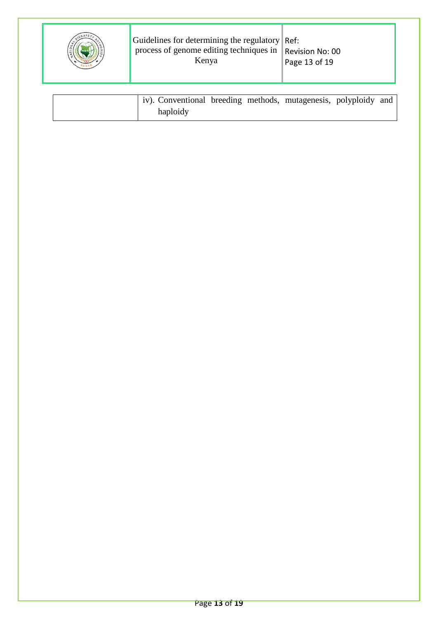|  | Guidelines for determining the regulatory Ref:<br>process of genome editing techniques in $\parallel$ Revision No: 00<br>Kenya | Page 13 of 19 |
|--|--------------------------------------------------------------------------------------------------------------------------------|---------------|
|  |                                                                                                                                |               |

| iv). Conventional breeding methods, mutagenesis, polyploidy and |  |  |  |
|-----------------------------------------------------------------|--|--|--|
| haploidy                                                        |  |  |  |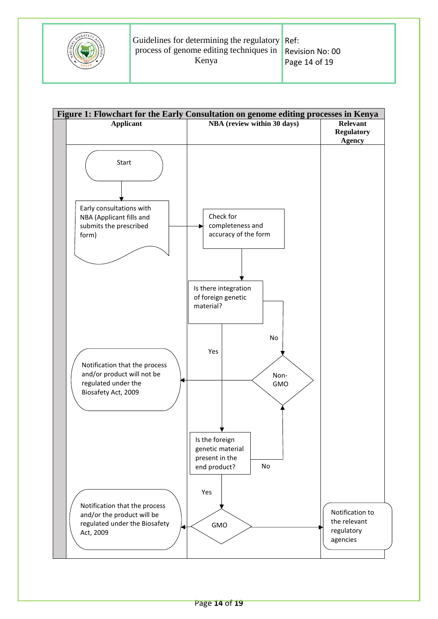

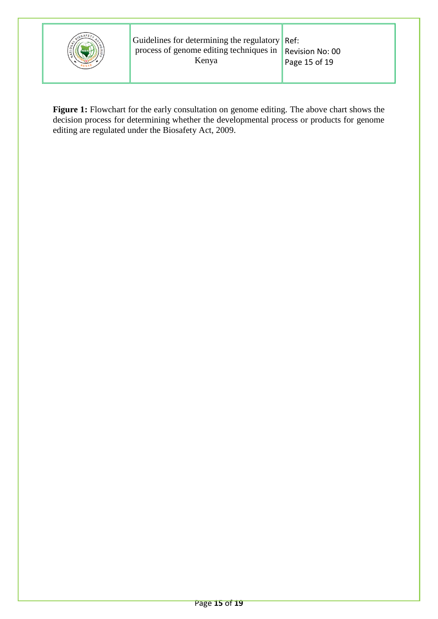

Figure 1: Flowchart for the early consultation on genome editing. The above chart shows the decision process for determining whether the developmental process or products for genome editing are regulated under the Biosafety Act, 2009.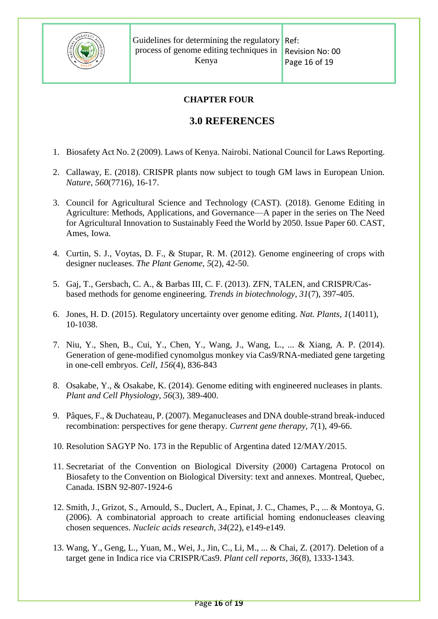

### **CHAPTER FOUR**

# <span id="page-15-1"></span>**3.0 REFERENCES**

- <span id="page-15-0"></span>1. Biosafety Act No. 2 (2009). Laws of Kenya. Nairobi. National Council for Laws Reporting.
- 2. Callaway, E. (2018). CRISPR plants now subject to tough GM laws in European Union. *Nature*, *560*(7716), 16-17.
- 3. Council for Agricultural Science and Technology (CAST). (2018). Genome Editing in Agriculture: Methods, Applications, and Governance—A paper in the series on The Need for Agricultural Innovation to Sustainably Feed the World by 2050. Issue Paper 60. CAST, Ames, Iowa.
- 4. Curtin, S. J., Voytas, D. F., & Stupar, R. M. (2012). Genome engineering of crops with designer nucleases. *The Plant Genome*, *5*(2), 42-50.
- 5. Gaj, T., Gersbach, C. A., & Barbas III, C. F. (2013). ZFN, TALEN, and CRISPR/Casbased methods for genome engineering. *Trends in biotechnology*, *31*(7), 397-405.
- 6. Jones, H. D. (2015). Regulatory uncertainty over genome editing. *Nat. Plants*, *1*(14011), 10-1038.
- 7. Niu, Y., Shen, B., Cui, Y., Chen, Y., Wang, J., Wang, L., ... & Xiang, A. P. (2014). Generation of gene-modified cynomolgus monkey via Cas9/RNA-mediated gene targeting in one-cell embryos. *Cell*, *156*(4), 836-843
- 8. Osakabe, Y., & Osakabe, K. (2014). Genome editing with engineered nucleases in plants. *Plant and Cell Physiology*, *56*(3), 389-400.
- 9. Pâques, F., & Duchateau, P. (2007). Meganucleases and DNA double-strand break-induced recombination: perspectives for gene therapy. *Current gene therapy*, *7*(1), 49-66.
- 10. Resolution SAGYP No. 173 in the Republic of Argentina dated 12/MAY/2015.
- 11. Secretariat of the Convention on Biological Diversity (2000) Cartagena Protocol on Biosafety to the Convention on Biological Diversity: text and annexes. Montreal, Quebec, Canada. ISBN 92-807-1924-6
- 12. Smith, J., Grizot, S., Arnould, S., Duclert, A., Epinat, J. C., Chames, P., ... & Montoya, G. (2006). A combinatorial approach to create artificial homing endonucleases cleaving chosen sequences. *Nucleic acids research*, *34*(22), e149-e149.
- 13. Wang, Y., Geng, L., Yuan, M., Wei, J., Jin, C., Li, M., ... & Chai, Z. (2017). Deletion of a target gene in Indica rice via CRISPR/Cas9. *Plant cell reports*, *36*(8), 1333-1343.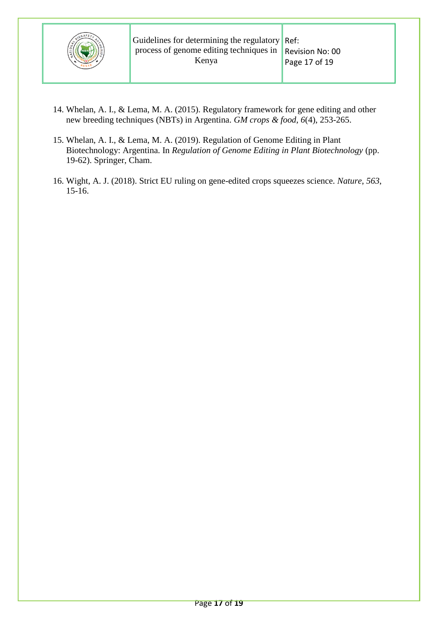

- 14. Whelan, A. I., & Lema, M. A. (2015). Regulatory framework for gene editing and other new breeding techniques (NBTs) in Argentina. *GM crops & food*, *6*(4), 253-265.
- 15. Whelan, A. I., & Lema, M. A. (2019). Regulation of Genome Editing in Plant Biotechnology: Argentina. In *Regulation of Genome Editing in Plant Biotechnology* (pp. 19-62). Springer, Cham.
- 16. Wight, A. J. (2018). Strict EU ruling on gene-edited crops squeezes science. *Nature*, *563*, 15-16.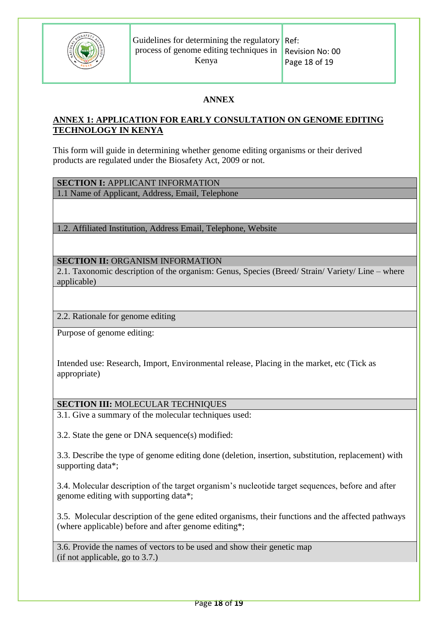

## **ANNEX**

## <span id="page-17-0"></span>**ANNEX 1: APPLICATION FOR EARLY CONSULTATION ON GENOME EDITING TECHNOLOGY IN KENYA**

This form will guide in determining whether genome editing organisms or their derived products are regulated under the Biosafety Act, 2009 or not.

**SECTION I:** APPLICANT INFORMATION

1.1 Name of Applicant, Address, Email, Telephone

1.2. Affiliated Institution, Address Email, Telephone, Website

## **SECTION II:** ORGANISM INFORMATION

2.1. Taxonomic description of the organism: Genus, Species (Breed/ Strain/ Variety/ Line – where applicable)

2.2. Rationale for genome editing

Purpose of genome editing:

Intended use: Research, Import, Environmental release, Placing in the market, etc (Tick as appropriate)

#### **SECTION III:** MOLECULAR TECHNIQUES

3.1. Give a summary of the molecular techniques used:

3.2. State the gene or DNA sequence(s) modified:

3.3. Describe the type of genome editing done (deletion, insertion, substitution, replacement) with supporting data\*;

3.4. Molecular description of the target organism's nucleotide target sequences, before and after genome editing with supporting data\*;

3.5. Molecular description of the gene edited organisms, their functions and the affected pathways (where applicable) before and after genome editing\*;

3.6. Provide the names of vectors to be used and show their genetic map (if not applicable, go to 3.7.)